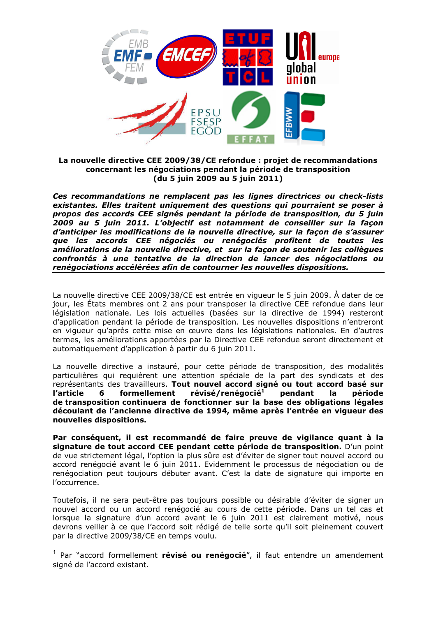

# La nouvelle directive CEE 2009/38/CE refondue : projet de recommandations concernant les négociations pendant la période de transposition (du 5 juin 2009 au 5 juin 2011)

Ces recommandations ne remplacent pas les lignes directrices ou check-lists existantes. Elles traitent uniquement des questions qui pourraient se poser à propos des accords CEE signés pendant la période de transposition, du 5 juin 2009 au 5 juin 2011. L'objectif est notamment de conseiller sur la façon d'anticiper les modifications de la nouvelle directive, sur la facon de s'assurer que les accords CEE négociés ou renégociés profitent de toutes les améliorations de la nouvelle directive, et sur la façon de soutenir les collègues confrontés à une tentative de la direction de lancer des négociations ou renégociations accélérées afin de contourner les nouvelles dispositions.

La nouvelle directive CEE 2009/38/CE est entrée en viqueur le 5 juin 2009. À dater de ce jour, les États membres ont 2 ans pour transposer la directive CEE refondue dans leur législation nationale. Les lois actuelles (basées sur la directive de 1994) resteront d'application pendant la période de transposition. Les nouvelles dispositions n'entreront en vigueur qu'après cette mise en œuvre dans les législations nationales. En d'autres termes, les améliorations apportées par la Directive CEE refondue seront directement et automatiquement d'application à partir du 6 juin 2011.

La nouvelle directive a instauré, pour cette période de transposition, des modalités particulières qui requièrent une attention spéciale de la part des syndicats et des représentants des travailleurs. Tout nouvel accord signé ou tout accord basé sur formellement révisé/renégocié<sup>1</sup> l'article 6 pendant la période de transposition continuera de fonctionner sur la base des obligations légales découlant de l'ancienne directive de 1994, même après l'entrée en viqueur des nouvelles dispositions.

Par conséquent, il est recommandé de faire preuve de vigilance quant à la signature de tout accord CEE pendant cette période de transposition. D'un point de vue strictement légal, l'option la plus sûre est d'éviter de signer tout nouvel accord ou accord renégocié avant le 6 juin 2011. Evidemment le processus de négociation ou de renégociation peut toujours débuter avant. C'est la date de signature qui importe en l'occurrence.

Toutefois, il ne sera peut-être pas toujours possible ou désirable d'éviter de signer un nouvel accord ou un accord renégocié au cours de cette période. Dans un tel cas et lorsque la signature d'un accord avant le 6 juin 2011 est clairement motivé, nous devrons veiller à ce que l'accord soit rédigé de telle sorte qu'il soit pleinement couvert par la directive 2009/38/CE en temps voulu.

<sup>&</sup>lt;sup>1</sup> Par "accord formellement **révisé ou renégocié**", il faut entendre un amendement signé de l'accord existant.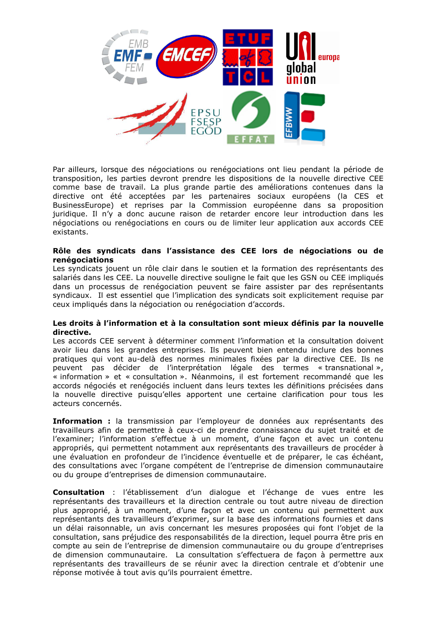

Par ailleurs, lorsque des négociations ou renégociations ont lieu pendant la période de transposition, les parties devront prendre les dispositions de la nouvelle directive CEE comme base de travail. La plus grande partie des améliorations contenues dans la directive ont été acceptées par les partenaires sociaux européens (la CES et BusinessEurope) et reprises par la Commission européenne dans sa proposition juridique. Il n'y a donc aucune raison de retarder encore leur introduction dans les négociations ou renégociations en cours ou de limiter leur application aux accords CEE existants.

## Rôle des syndicats dans l'assistance des CEE lors de négociations ou de renégociations

Les syndicats jouent un rôle clair dans le soutien et la formation des représentants des salariés dans les CEE. La nouvelle directive souligne le fait que les GSN ou CEE impliqués dans un processus de renégociation peuvent se faire assister par des représentants syndicaux. Il est essentiel que l'implication des syndicats soit explicitement requise par ceux impliqués dans la négociation ou renégociation d'accords.

### Les droits à l'information et à la consultation sont mieux définis par la nouvelle directive.

Les accords CEE servent à déterminer comment l'information et la consultation doivent avoir lieu dans les grandes entreprises. Ils peuvent bien entendu inclure des bonnes pratiques qui vont au-delà des normes minimales fixées par la directive CEE. Ils ne peuvent pas décider de l'interprétation légale des termes « transnational », « information » et « consultation ». Néanmoins, il est fortement recommandé que les accords négociés et renégociés incluent dans leurs textes les définitions précisées dans la nouvelle directive puisqu'elles apportent une certaine clarification pour tous les acteurs concernés.

Information : la transmission par l'employeur de données aux représentants des travailleurs afin de permettre à ceux-ci de prendre connaissance du sujet traité et de l'examiner; l'information s'effectue à un moment, d'une façon et avec un contenu appropriés, qui permettent notamment aux représentants des travailleurs de procéder à une évaluation en profondeur de l'incidence éventuelle et de préparer, le cas échéant, des consultations avec l'organe compétent de l'entreprise de dimension communautaire ou du groupe d'entreprises de dimension communautaire.

Consultation : l'établissement d'un dialoque et l'échange de vues entre les représentants des travailleurs et la direction centrale ou tout autre niveau de direction plus approprié, à un moment, d'une facon et avec un contenu qui permettent aux représentants des travailleurs d'exprimer, sur la base des informations fournies et dans un délai raisonnable, un avis concernant les mesures proposées qui font l'objet de la consultation, sans préjudice des responsabilités de la direction, lequel pourra être pris en compte au sein de l'entreprise de dimension communautaire ou du groupe d'entreprises de dimension communautaire. La consultation s'effectuera de facon à permettre aux représentants des travailleurs de se réunir avec la direction centrale et d'obtenir une réponse motivée à tout avis qu'ils pourraient émettre.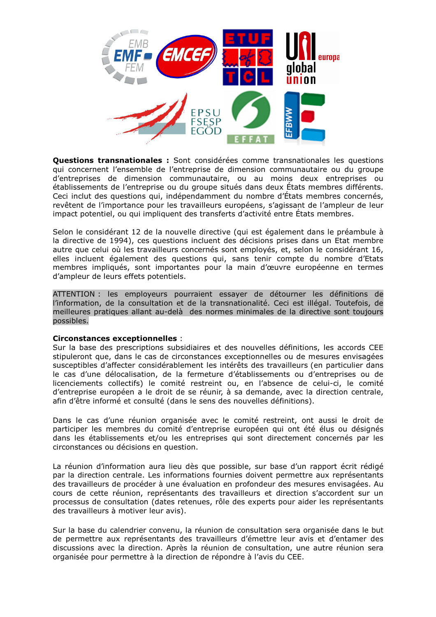

**Questions transnationales :** Sont considérées comme transnationales les questions qui concernent l'ensemble de l'entreprise de dimension communautaire ou du groupe d'entreprises de dimension communautaire, ou au moins deux entreprises ou établissements de l'entreprise ou du groupe situés dans deux États membres différents. Ceci inclut des questions qui, indépendamment du nombre d'États membres concernés, revêtent de l'importance pour les travailleurs européens, s'agissant de l'ampleur de leur impact potentiel, ou qui impliquent des transferts d'activité entre États membres.

Selon le considérant 12 de la nouvelle directive (qui est également dans le préambule à la directive de 1994), ces questions incluent des décisions prises dans un Etat membre autre que celui où les travailleurs concernés sont employés, et, selon le considérant 16, elles incluent également des questions qui, sans tenir compte du nombre d'Etats membres impliqués, sont importantes pour la main d'œuvre européenne en termes d'ampleur de leurs effets potentiels.

ATTENTION : les employeurs pourraient essayer de détourner les définitions de l'information, de la consultation et de la transnationalité. Ceci est illégal. Toutefois, de meilleures pratiques allant au-delà des normes minimales de la directive sont toujours possibles.

### **Circonstances exceptionnelles:**

Sur la base des prescriptions subsidiaires et des nouvelles définitions, les accords CEE stipuleront que, dans le cas de circonstances exceptionnelles ou de mesures envisagées susceptibles d'affecter considérablement les intérêts des travailleurs (en particulier dans le cas d'une délocalisation, de la fermeture d'établissements ou d'entreprises ou de licenciements collectifs) le comité restreint ou, en l'absence de celui-ci, le comité d'entreprise européen a le droit de se réunir, à sa demande, avec la direction centrale, afin d'être informé et consulté (dans le sens des nouvelles définitions).

Dans le cas d'une réunion organisée avec le comité restreint, ont aussi le droit de participer les membres du comité d'entreprise européen qui ont été élus ou désignés dans les établissements et/ou les entreprises qui sont directement concernés par les circonstances ou décisions en question.

La réunion d'information aura lieu dès que possible, sur base d'un rapport écrit rédigé par la direction centrale. Les informations fournies doivent permettre aux représentants des travailleurs de procéder à une évaluation en profondeur des mesures envisagées. Au cours de cette réunion, représentants des travailleurs et direction s'accordent sur un processus de consultation (dates retenues, rôle des experts pour aider les représentants des travailleurs à motiver leur avis).

Sur la base du calendrier convenu, la réunion de consultation sera organisée dans le but de permettre aux représentants des travailleurs d'émettre leur avis et d'entamer des discussions avec la direction. Après la réunion de consultation, une autre réunion sera organisée pour permettre à la direction de répondre à l'avis du CEE.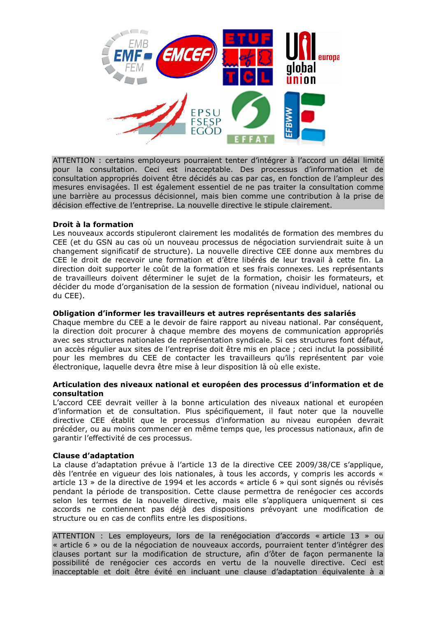

ATTENTION : certains employeurs pourraient tenter d'intégrer à l'accord un délai limité pour la consultation. Ceci est inacceptable. Des processus d'information et de consultation appropriés doivent être décidés au cas par cas, en fonction de l'ampleur des mesures envisagées. Il est également essentiel de ne pas traiter la consultation comme une barrière au processus décisionnel, mais bien comme une contribution à la prise de décision effective de l'entreprise. La nouvelle directive le stipule clairement.

## Droit à la formation

Les nouveaux accords stipuleront clairement les modalités de formation des membres du CEE (et du GSN au cas où un nouveau processus de négociation surviendrait suite à un changement significatif de structure). La nouvelle directive CEE donne aux membres du CEE le droit de recevoir une formation et d'être libérés de leur travail à cette fin. La direction doit supporter le coût de la formation et ses frais connexes. Les représentants de travailleurs doivent déterminer le sujet de la formation, choisir les formateurs, et décider du mode d'organisation de la session de formation (niveau individuel, national ou du CEE).

### Obligation d'informer les travailleurs et autres représentants des salariés

Chaque membre du CEE a le devoir de faire rapport au niveau national. Par conséquent, la direction doit procurer à chaque membre des moyens de communication appropriés avec ses structures nationales de représentation syndicale. Si ces structures font défaut, un accès régulier aux sites de l'entreprise doit être mis en place ; ceci inclut la possibilité pour les membres du CEE de contacter les travailleurs qu'ils représentent par voie électronique, laquelle devra être mise à leur disposition là où elle existe.

### Articulation des niveaux national et européen des processus d'information et de **consultation**

L'accord CEE devrait veiller à la bonne articulation des niveaux national et européen d'information et de consultation. Plus spécifiquement, il faut noter que la nouvelle directive CEE établit que le processus d'information au niveau européen devrait précéder, ou au moins commencer en même temps que, les processus nationaux, afin de garantir l'effectivité de ces processus.

### **Clause d'adaptation**

La clause d'adaptation prévue à l'article 13 de la directive CEE 2009/38/CE s'applique, dès l'entrée en vigueur des lois nationales, à tous les accords, y compris les accords « article 13 » de la directive de 1994 et les accords « article 6 » qui sont signés ou révisés pendant la période de transposition. Cette clause permettra de renégocier ces accords selon les termes de la nouvelle directive, mais elle s'appliquera uniquement si ces accords ne contiennent pas déjà des dispositions prévoyant une modification de structure ou en cas de conflits entre les dispositions.

ATTENTION : Les employeurs, lors de la renégociation d'accords « article 13 » ou « article 6 » ou de la négociation de nouveaux accords, pourraient tenter d'intégrer des clauses portant sur la modification de structure, afin d'ôter de façon permanente la possibilité de renégocier ces accords en vertu de la nouvelle directive. Ceci est inacceptable et doit être évité en incluant une clause d'adaptation équivalente à a